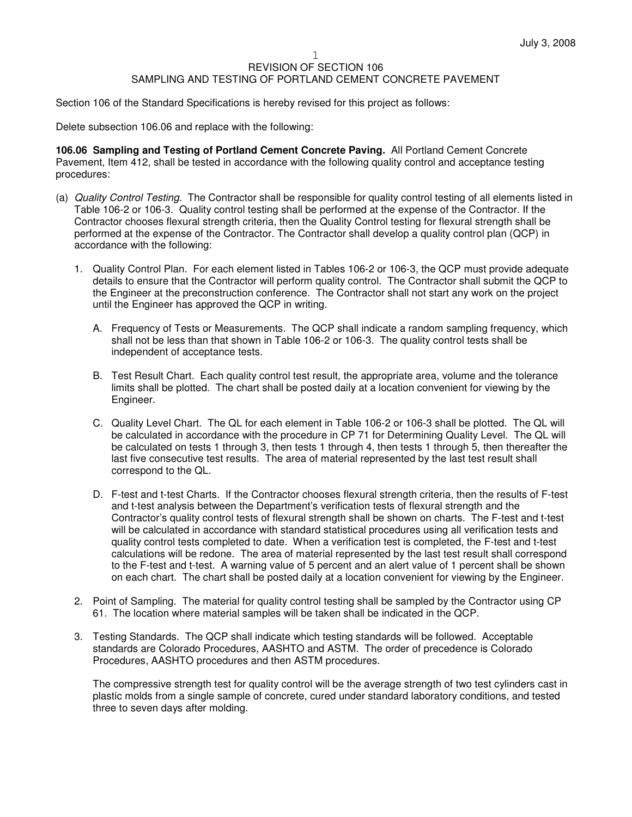Section 106 of the Standard Specifications is hereby revised for this project as follows:

Delete subsection 106.06 and replace with the following:

**106.06 Sampling and Testing of Portland Cement Concrete Paving.** All Portland Cement Concrete Pavement, Item 412, shall be tested in accordance with the following quality control and acceptance testing procedures:

- (a) Quality Control Testing. The Contractor shall be responsible for quality control testing of all elements listed in Table 106-2 or 106-3. Quality control testing shall be performed at the expense of the Contractor. If the Contractor chooses flexural strength criteria, then the Quality Control testing for flexural strength shall be performed at the expense of the Contractor. The Contractor shall develop a quality control plan (QCP) in accordance with the following:
	- 1. Quality Control Plan. For each element listed in Tables 106-2 or 106-3, the QCP must provide adequate details to ensure that the Contractor will perform quality control. The Contractor shall submit the QCP to the Engineer at the preconstruction conference. The Contractor shall not start any work on the project until the Engineer has approved the QCP in writing.
		- A. Frequency of Tests or Measurements. The QCP shall indicate a random sampling frequency, which shall not be less than that shown in Table 106-2 or 106-3. The quality control tests shall be independent of acceptance tests.
		- B. Test Result Chart. Each quality control test result, the appropriate area, volume and the tolerance limits shall be plotted. The chart shall be posted daily at a location convenient for viewing by the Engineer.
		- C. Quality Level Chart. The QL for each element in Table 106-2 or 106-3 shall be plotted. The QL will be calculated in accordance with the procedure in CP 71 for Determining Quality Level. The QL will be calculated on tests 1 through 3, then tests 1 through 4, then tests 1 through 5, then thereafter the last five consecutive test results. The area of material represented by the last test result shall correspond to the QL.
		- D. F-test and t-test Charts. If the Contractor chooses flexural strength criteria, then the results of F-test and t-test analysis between the Department's verification tests of flexural strength and the Contractor's quality control tests of flexural strength shall be shown on charts. The F-test and t-test will be calculated in accordance with standard statistical procedures using all verification tests and quality control tests completed to date. When a verification test is completed, the F-test and t-test calculations will be redone. The area of material represented by the last test result shall correspond to the F-test and t-test. A warning value of 5 percent and an alert value of 1 percent shall be shown on each chart. The chart shall be posted daily at a location convenient for viewing by the Engineer.
	- 2. Point of Sampling. The material for quality control testing shall be sampled by the Contractor using CP 61. The location where material samples will be taken shall be indicated in the QCP.
	- 3. Testing Standards. The QCP shall indicate which testing standards will be followed. Acceptable standards are Colorado Procedures, AASHTO and ASTM. The order of precedence is Colorado Procedures, AASHTO procedures and then ASTM procedures.

The compressive strength test for quality control will be the average strength of two test cylinders cast in plastic molds from a single sample of concrete, cured under standard laboratory conditions, and tested three to seven days after molding.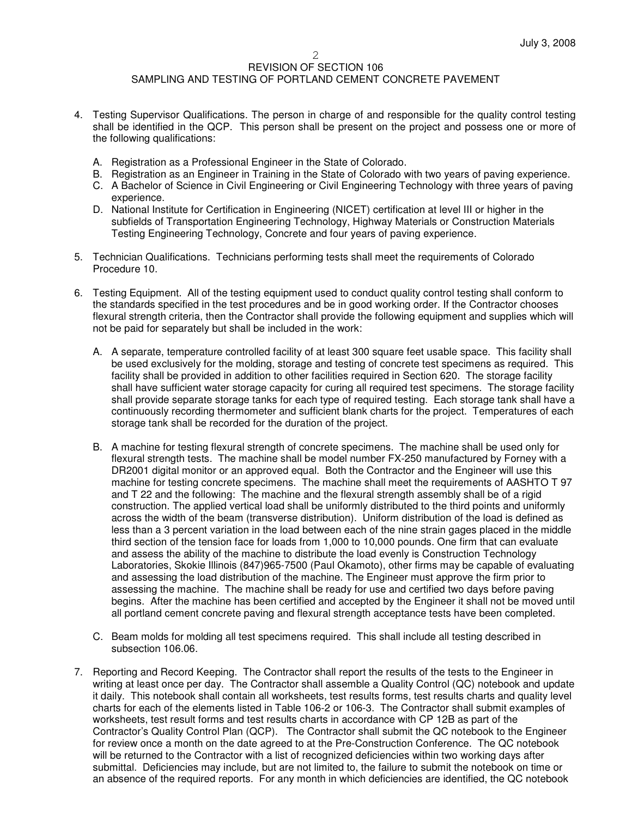## REVISION OF SECTION 106

### SAMPLING AND TESTING OF PORTLAND CEMENT CONCRETE PAVEMENT

- 4. Testing Supervisor Qualifications. The person in charge of and responsible for the quality control testing shall be identified in the QCP. This person shall be present on the project and possess one or more of the following qualifications:
	- A. Registration as a Professional Engineer in the State of Colorado.
	- B. Registration as an Engineer in Training in the State of Colorado with two years of paving experience.
	- C. A Bachelor of Science in Civil Engineering or Civil Engineering Technology with three years of paving experience.
	- D. National Institute for Certification in Engineering (NICET) certification at level III or higher in the subfields of Transportation Engineering Technology, Highway Materials or Construction Materials Testing Engineering Technology, Concrete and four years of paving experience.
- 5. Technician Qualifications. Technicians performing tests shall meet the requirements of Colorado Procedure 10.
- 6. Testing Equipment. All of the testing equipment used to conduct quality control testing shall conform to the standards specified in the test procedures and be in good working order. If the Contractor chooses flexural strength criteria, then the Contractor shall provide the following equipment and supplies which will not be paid for separately but shall be included in the work:
	- A. A separate, temperature controlled facility of at least 300 square feet usable space. This facility shall be used exclusively for the molding, storage and testing of concrete test specimens as required. This facility shall be provided in addition to other facilities required in Section 620. The storage facility shall have sufficient water storage capacity for curing all required test specimens. The storage facility shall provide separate storage tanks for each type of required testing. Each storage tank shall have a continuously recording thermometer and sufficient blank charts for the project. Temperatures of each storage tank shall be recorded for the duration of the project.
	- B. A machine for testing flexural strength of concrete specimens. The machine shall be used only for flexural strength tests. The machine shall be model number FX-250 manufactured by Forney with a DR2001 digital monitor or an approved equal. Both the Contractor and the Engineer will use this machine for testing concrete specimens. The machine shall meet the requirements of AASHTO T 97 and T 22 and the following: The machine and the flexural strength assembly shall be of a rigid construction. The applied vertical load shall be uniformly distributed to the third points and uniformly across the width of the beam (transverse distribution). Uniform distribution of the load is defined as less than a 3 percent variation in the load between each of the nine strain gages placed in the middle third section of the tension face for loads from 1,000 to 10,000 pounds. One firm that can evaluate and assess the ability of the machine to distribute the load evenly is Construction Technology Laboratories, Skokie Illinois (847)965-7500 (Paul Okamoto), other firms may be capable of evaluating and assessing the load distribution of the machine. The Engineer must approve the firm prior to assessing the machine. The machine shall be ready for use and certified two days before paving begins. After the machine has been certified and accepted by the Engineer it shall not be moved until all portland cement concrete paving and flexural strength acceptance tests have been completed.
	- C. Beam molds for molding all test specimens required. This shall include all testing described in subsection 106.06.
- 7. Reporting and Record Keeping. The Contractor shall report the results of the tests to the Engineer in writing at least once per day. The Contractor shall assemble a Quality Control (QC) notebook and update it daily. This notebook shall contain all worksheets, test results forms, test results charts and quality level charts for each of the elements listed in Table 106-2 or 106-3. The Contractor shall submit examples of worksheets, test result forms and test results charts in accordance with CP 12B as part of the Contractor's Quality Control Plan (QCP). The Contractor shall submit the QC notebook to the Engineer for review once a month on the date agreed to at the Pre-Construction Conference. The QC notebook will be returned to the Contractor with a list of recognized deficiencies within two working days after submittal. Deficiencies may include, but are not limited to, the failure to submit the notebook on time or an absence of the required reports. For any month in which deficiencies are identified, the QC notebook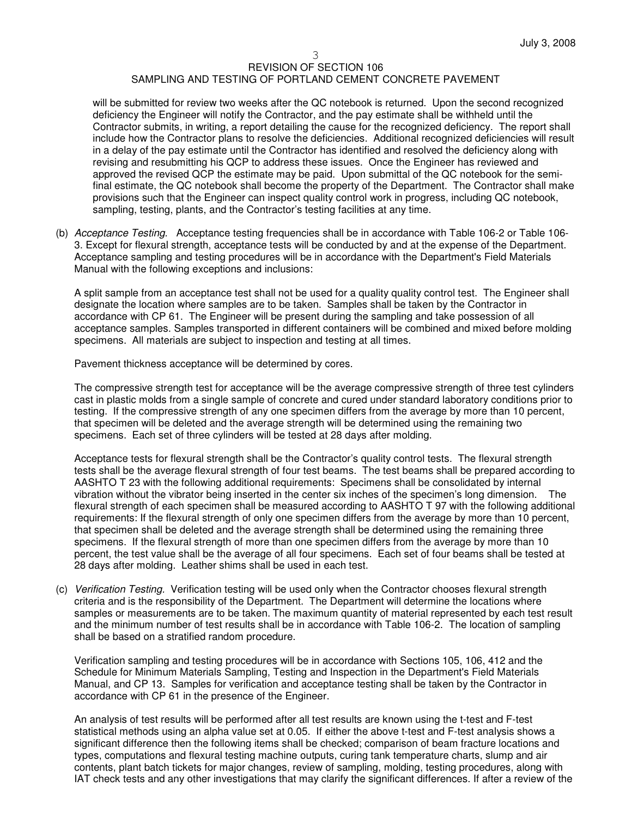will be submitted for review two weeks after the QC notebook is returned. Upon the second recognized deficiency the Engineer will notify the Contractor, and the pay estimate shall be withheld until the Contractor submits, in writing, a report detailing the cause for the recognized deficiency. The report shall include how the Contractor plans to resolve the deficiencies. Additional recognized deficiencies will result in a delay of the pay estimate until the Contractor has identified and resolved the deficiency along with revising and resubmitting his QCP to address these issues. Once the Engineer has reviewed and approved the revised QCP the estimate may be paid. Upon submittal of the QC notebook for the semifinal estimate, the QC notebook shall become the property of the Department. The Contractor shall make provisions such that the Engineer can inspect quality control work in progress, including QC notebook, sampling, testing, plants, and the Contractor's testing facilities at any time.

(b) Acceptance Testing. Acceptance testing frequencies shall be in accordance with Table 106-2 or Table 106- 3. Except for flexural strength, acceptance tests will be conducted by and at the expense of the Department. Acceptance sampling and testing procedures will be in accordance with the Department's Field Materials Manual with the following exceptions and inclusions:

A split sample from an acceptance test shall not be used for a quality quality control test. The Engineer shall designate the location where samples are to be taken. Samples shall be taken by the Contractor in accordance with CP 61. The Engineer will be present during the sampling and take possession of all acceptance samples. Samples transported in different containers will be combined and mixed before molding specimens. All materials are subject to inspection and testing at all times.

Pavement thickness acceptance will be determined by cores.

The compressive strength test for acceptance will be the average compressive strength of three test cylinders cast in plastic molds from a single sample of concrete and cured under standard laboratory conditions prior to testing. If the compressive strength of any one specimen differs from the average by more than 10 percent, that specimen will be deleted and the average strength will be determined using the remaining two specimens. Each set of three cylinders will be tested at 28 days after molding.

Acceptance tests for flexural strength shall be the Contractor's quality control tests. The flexural strength tests shall be the average flexural strength of four test beams. The test beams shall be prepared according to AASHTO T 23 with the following additional requirements: Specimens shall be consolidated by internal vibration without the vibrator being inserted in the center six inches of the specimen's long dimension. The flexural strength of each specimen shall be measured according to AASHTO T 97 with the following additional requirements: If the flexural strength of only one specimen differs from the average by more than 10 percent, that specimen shall be deleted and the average strength shall be determined using the remaining three specimens. If the flexural strength of more than one specimen differs from the average by more than 10 percent, the test value shall be the average of all four specimens. Each set of four beams shall be tested at 28 days after molding. Leather shims shall be used in each test.

(c) Verification Testing. Verification testing will be used only when the Contractor chooses flexural strength criteria and is the responsibility of the Department. The Department will determine the locations where samples or measurements are to be taken. The maximum quantity of material represented by each test result and the minimum number of test results shall be in accordance with Table 106-2. The location of sampling shall be based on a stratified random procedure.

Verification sampling and testing procedures will be in accordance with Sections 105, 106, 412 and the Schedule for Minimum Materials Sampling, Testing and Inspection in the Department's Field Materials Manual, and CP 13. Samples for verification and acceptance testing shall be taken by the Contractor in accordance with CP 61 in the presence of the Engineer.

An analysis of test results will be performed after all test results are known using the t-test and F-test statistical methods using an alpha value set at 0.05. If either the above t-test and F-test analysis shows a significant difference then the following items shall be checked; comparison of beam fracture locations and types, computations and flexural testing machine outputs, curing tank temperature charts, slump and air contents, plant batch tickets for major changes, review of sampling, molding, testing procedures, along with IAT check tests and any other investigations that may clarify the significant differences. If after a review of the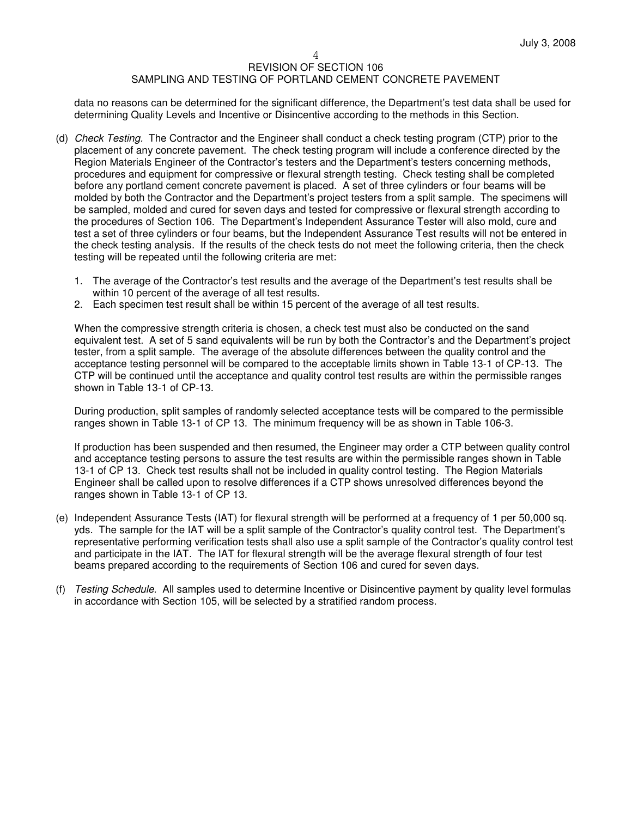data no reasons can be determined for the significant difference, the Department's test data shall be used for determining Quality Levels and Incentive or Disincentive according to the methods in this Section.

- (d) Check Testing. The Contractor and the Engineer shall conduct a check testing program (CTP) prior to the placement of any concrete pavement. The check testing program will include a conference directed by the Region Materials Engineer of the Contractor's testers and the Department's testers concerning methods, procedures and equipment for compressive or flexural strength testing. Check testing shall be completed before any portland cement concrete pavement is placed. A set of three cylinders or four beams will be molded by both the Contractor and the Department's project testers from a split sample. The specimens will be sampled, molded and cured for seven days and tested for compressive or flexural strength according to the procedures of Section 106. The Department's Independent Assurance Tester will also mold, cure and test a set of three cylinders or four beams, but the Independent Assurance Test results will not be entered in the check testing analysis. If the results of the check tests do not meet the following criteria, then the check testing will be repeated until the following criteria are met:
	- 1. The average of the Contractor's test results and the average of the Department's test results shall be within 10 percent of the average of all test results.
	- 2. Each specimen test result shall be within 15 percent of the average of all test results.

When the compressive strength criteria is chosen, a check test must also be conducted on the sand equivalent test. A set of 5 sand equivalents will be run by both the Contractor's and the Department's project tester, from a split sample. The average of the absolute differences between the quality control and the acceptance testing personnel will be compared to the acceptable limits shown in Table 13-1 of CP-13. The CTP will be continued until the acceptance and quality control test results are within the permissible ranges shown in Table 13-1 of CP-13.

During production, split samples of randomly selected acceptance tests will be compared to the permissible ranges shown in Table 13-1 of CP 13. The minimum frequency will be as shown in Table 106-3.

If production has been suspended and then resumed, the Engineer may order a CTP between quality control and acceptance testing persons to assure the test results are within the permissible ranges shown in Table 13-1 of CP 13. Check test results shall not be included in quality control testing. The Region Materials Engineer shall be called upon to resolve differences if a CTP shows unresolved differences beyond the ranges shown in Table 13-1 of CP 13.

- (e) Independent Assurance Tests (IAT) for flexural strength will be performed at a frequency of 1 per 50,000 sq. yds. The sample for the IAT will be a split sample of the Contractor's quality control test. The Department's representative performing verification tests shall also use a split sample of the Contractor's quality control test and participate in the IAT. The IAT for flexural strength will be the average flexural strength of four test beams prepared according to the requirements of Section 106 and cured for seven days.
- (f) Testing Schedule. All samples used to determine Incentive or Disincentive payment by quality level formulas in accordance with Section 105, will be selected by a stratified random process.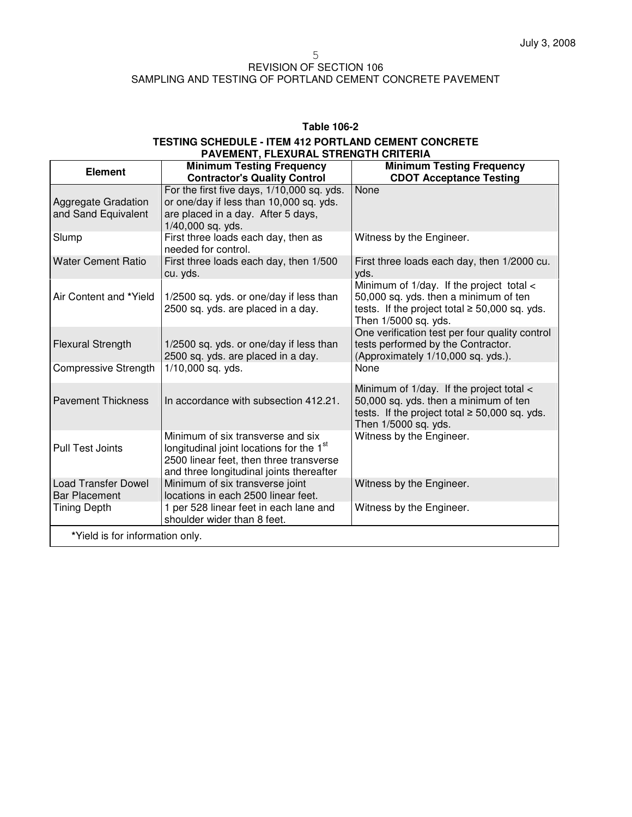| <b>Table 106-2</b>                                          |
|-------------------------------------------------------------|
| <b>TESTING SCHEDULE - ITEM 412 PORTLAND CEMENT CONCRETE</b> |
| <b>PAVEMENT, FLEXURAL STRENGTH CRITERIA</b>                 |

| <u>FATEMENT, I EEAONAE STRENGTH CHITERIA</u>       |                                                                                                                                                                                  |                                                                                                                                                                 |  |
|----------------------------------------------------|----------------------------------------------------------------------------------------------------------------------------------------------------------------------------------|-----------------------------------------------------------------------------------------------------------------------------------------------------------------|--|
| <b>Element</b>                                     | <b>Minimum Testing Frequency</b><br><b>Contractor's Quality Control</b>                                                                                                          | <b>Minimum Testing Frequency</b><br><b>CDOT Acceptance Testing</b>                                                                                              |  |
| <b>Aggregate Gradation</b><br>and Sand Equivalent  | For the first five days, 1/10,000 sq. yds.<br>or one/day if less than 10,000 sq. yds.<br>are placed in a day. After 5 days,<br>1/40,000 sq. yds.                                 | None                                                                                                                                                            |  |
| Slump                                              | First three loads each day, then as<br>needed for control.                                                                                                                       | Witness by the Engineer.                                                                                                                                        |  |
| <b>Water Cement Ratio</b>                          | First three loads each day, then 1/500<br>cu. yds.                                                                                                                               | First three loads each day, then 1/2000 cu.<br>yds.                                                                                                             |  |
| Air Content and *Yield                             | 1/2500 sq. yds. or one/day if less than<br>2500 sq. yds. are placed in a day.                                                                                                    | Minimum of 1/day. If the project total <<br>50,000 sq. yds. then a minimum of ten<br>tests. If the project total $\geq 50,000$ sq. yds.<br>Then 1/5000 sq. yds. |  |
| <b>Flexural Strength</b>                           | 1/2500 sq. yds. or one/day if less than<br>2500 sq. yds. are placed in a day.                                                                                                    | One verification test per four quality control<br>tests performed by the Contractor.<br>(Approximately 1/10,000 sq. yds.).                                      |  |
| Compressive Strength                               | 1/10,000 sq. yds.                                                                                                                                                                | None                                                                                                                                                            |  |
| <b>Pavement Thickness</b>                          | In accordance with subsection 412.21.                                                                                                                                            | Minimum of 1/day. If the project total <<br>50,000 sq. yds. then a minimum of ten<br>tests. If the project total $\geq 50,000$ sq. yds.<br>Then 1/5000 sq. yds. |  |
| <b>Pull Test Joints</b>                            | Minimum of six transverse and six<br>longitudinal joint locations for the 1 <sup>st</sup><br>2500 linear feet, then three transverse<br>and three longitudinal joints thereafter | Witness by the Engineer.                                                                                                                                        |  |
| <b>Load Transfer Dowel</b><br><b>Bar Placement</b> | Minimum of six transverse joint<br>locations in each 2500 linear feet.                                                                                                           | Witness by the Engineer.                                                                                                                                        |  |
| <b>Tining Depth</b>                                | 1 per 528 linear feet in each lane and<br>shoulder wider than 8 feet.                                                                                                            | Witness by the Engineer.                                                                                                                                        |  |
| *Yield is for information only.                    |                                                                                                                                                                                  |                                                                                                                                                                 |  |